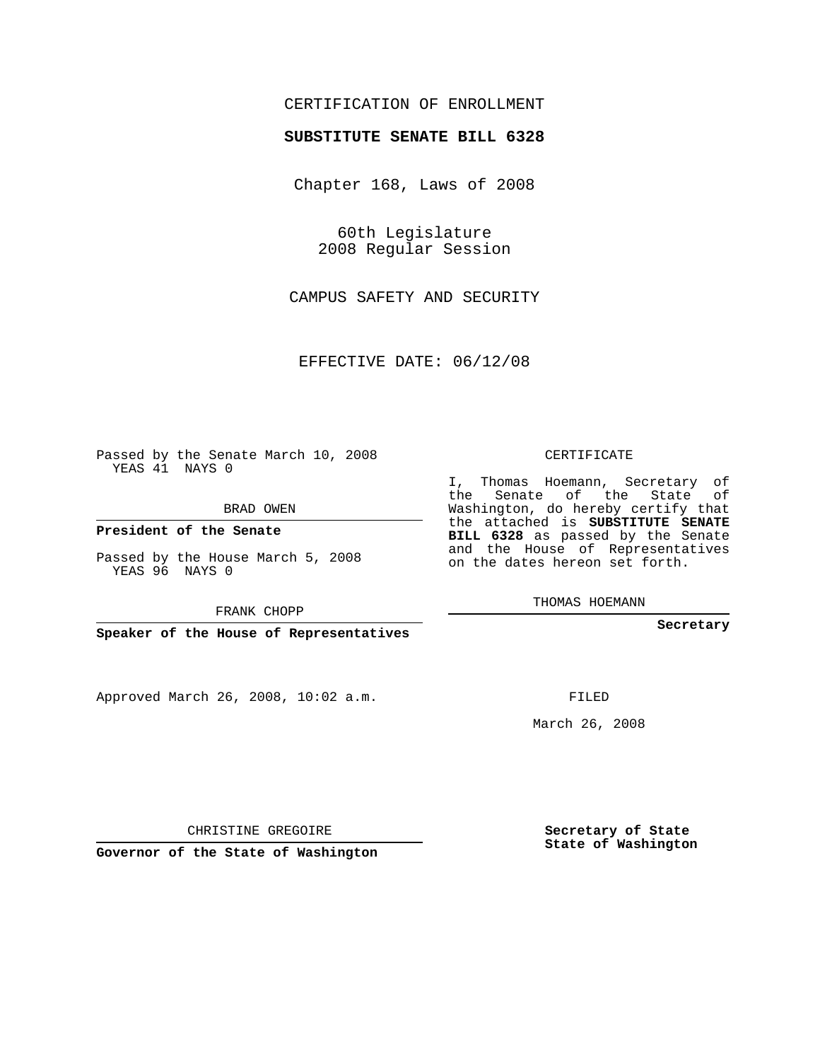## CERTIFICATION OF ENROLLMENT

#### **SUBSTITUTE SENATE BILL 6328**

Chapter 168, Laws of 2008

60th Legislature 2008 Regular Session

CAMPUS SAFETY AND SECURITY

EFFECTIVE DATE: 06/12/08

Passed by the Senate March 10, 2008 YEAS 41 NAYS 0

BRAD OWEN

**President of the Senate**

Passed by the House March 5, 2008 YEAS 96 NAYS 0

FRANK CHOPP

**Speaker of the House of Representatives**

Approved March 26, 2008, 10:02 a.m.

CERTIFICATE

I, Thomas Hoemann, Secretary of the Senate of the State of Washington, do hereby certify that the attached is **SUBSTITUTE SENATE BILL 6328** as passed by the Senate and the House of Representatives on the dates hereon set forth.

THOMAS HOEMANN

**Secretary**

FILED

March 26, 2008

**Secretary of State State of Washington**

CHRISTINE GREGOIRE

**Governor of the State of Washington**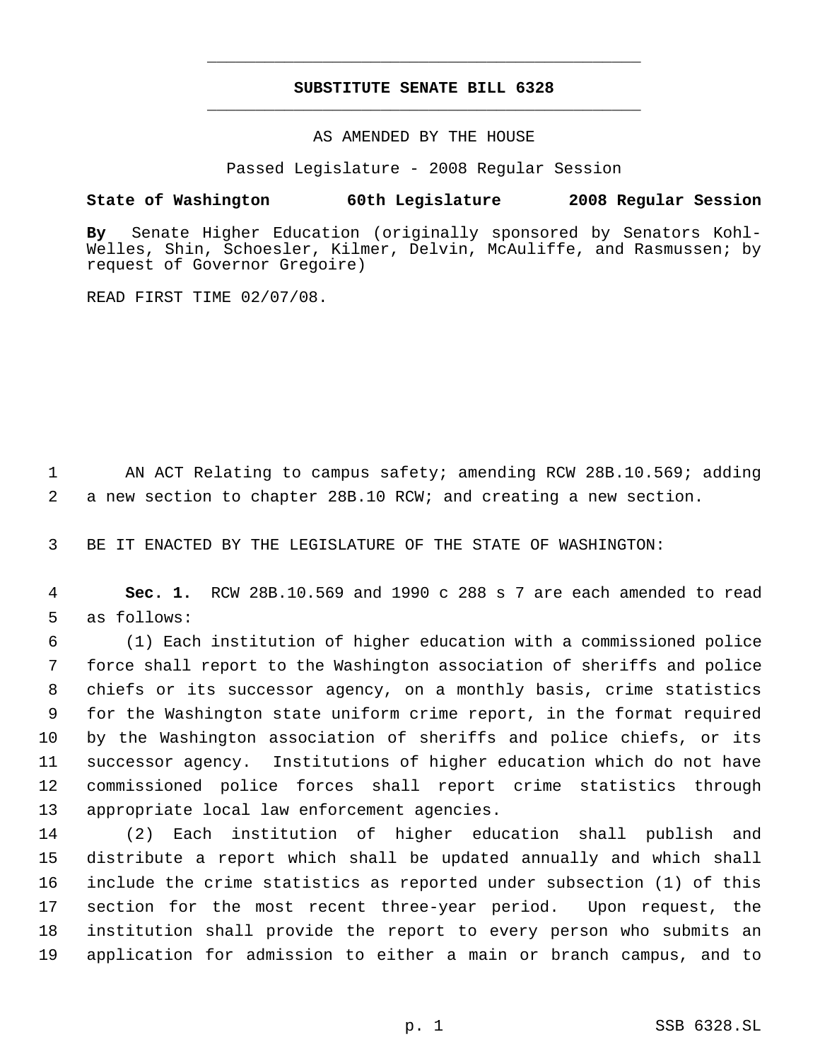# **SUBSTITUTE SENATE BILL 6328** \_\_\_\_\_\_\_\_\_\_\_\_\_\_\_\_\_\_\_\_\_\_\_\_\_\_\_\_\_\_\_\_\_\_\_\_\_\_\_\_\_\_\_\_\_

\_\_\_\_\_\_\_\_\_\_\_\_\_\_\_\_\_\_\_\_\_\_\_\_\_\_\_\_\_\_\_\_\_\_\_\_\_\_\_\_\_\_\_\_\_

## AS AMENDED BY THE HOUSE

Passed Legislature - 2008 Regular Session

## **State of Washington 60th Legislature 2008 Regular Session**

**By** Senate Higher Education (originally sponsored by Senators Kohl-Welles, Shin, Schoesler, Kilmer, Delvin, McAuliffe, and Rasmussen; by request of Governor Gregoire)

READ FIRST TIME 02/07/08.

1 AN ACT Relating to campus safety; amending RCW 28B.10.569; adding 2 a new section to chapter 28B.10 RCW; and creating a new section.

3 BE IT ENACTED BY THE LEGISLATURE OF THE STATE OF WASHINGTON:

 4 **Sec. 1.** RCW 28B.10.569 and 1990 c 288 s 7 are each amended to read 5 as follows:

 (1) Each institution of higher education with a commissioned police force shall report to the Washington association of sheriffs and police chiefs or its successor agency, on a monthly basis, crime statistics for the Washington state uniform crime report, in the format required by the Washington association of sheriffs and police chiefs, or its successor agency. Institutions of higher education which do not have commissioned police forces shall report crime statistics through appropriate local law enforcement agencies.

 (2) Each institution of higher education shall publish and distribute a report which shall be updated annually and which shall include the crime statistics as reported under subsection (1) of this section for the most recent three-year period. Upon request, the institution shall provide the report to every person who submits an application for admission to either a main or branch campus, and to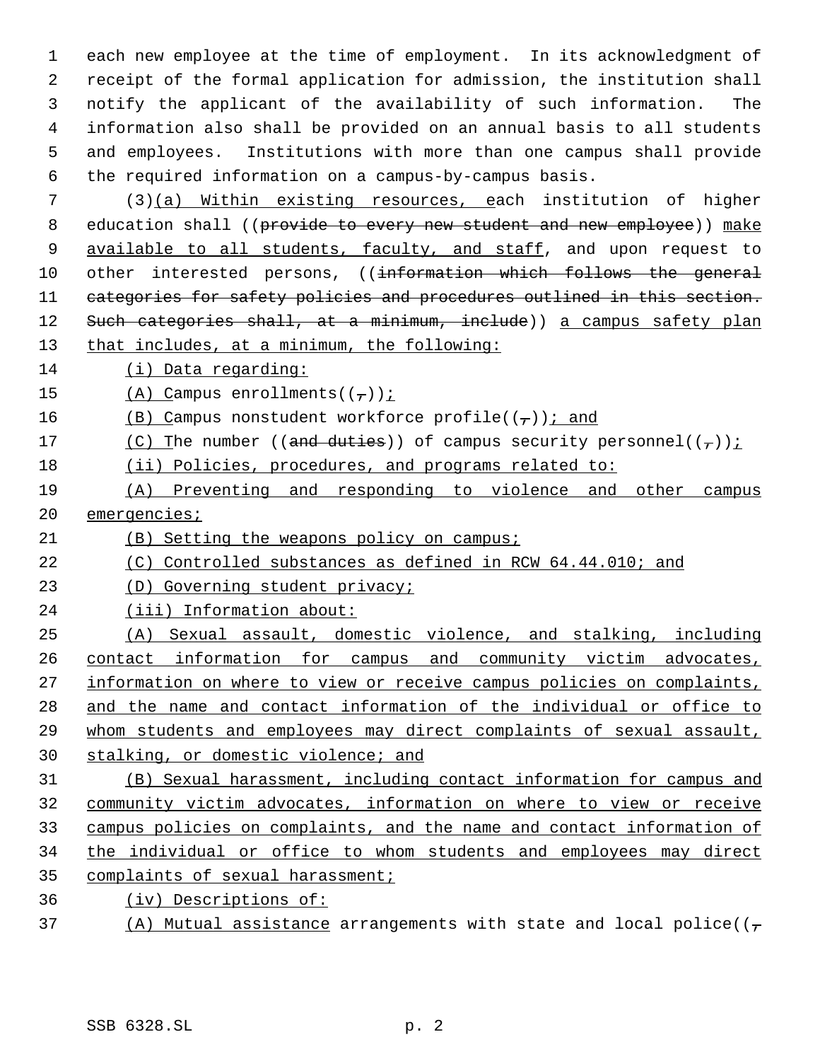each new employee at the time of employment. In its acknowledgment of receipt of the formal application for admission, the institution shall notify the applicant of the availability of such information. The information also shall be provided on an annual basis to all students and employees. Institutions with more than one campus shall provide the required information on a campus-by-campus basis.

 (3)(a) Within existing resources, each institution of higher 8 education shall ((provide to every new student and new employee)) make 9 available to all students, faculty, and staff, and upon request to 10 other interested persons, ((information which follows the general categories for safety policies and procedures outlined in this section. 12 Such categories shall, at a minimum, include)) a campus safety plan that includes, at a minimum, the following:

(i) Data regarding:

15 (A) Campus enrollments( $(\frac{\tau}{l})$ );

16 (B) Campus nonstudent workforce profile( $(\tau)$ ); and

- 17 (C) The number ((and duties)) of campus security personnel( $(\tau)$ ):
- (ii) Policies, procedures, and programs related to:
- (A) Preventing and responding to violence and other campus 20 emergencies;
- (B) Setting the weapons policy on campus;
- 22 (C) Controlled substances as defined in RCW 64.44.010; and
- (D) Governing student privacy;
- (iii) Information about:
- (A) Sexual assault, domestic violence, and stalking, including contact information for campus and community victim advocates, 27 information on where to view or receive campus policies on complaints, and the name and contact information of the individual or office to whom students and employees may direct complaints of sexual assault, stalking, or domestic violence; and

 (B) Sexual harassment, including contact information for campus and community victim advocates, information on where to view or receive campus policies on complaints, and the name and contact information of the individual or office to whom students and employees may direct 35 complaints of sexual harassment;

- (iv) Descriptions of:
- 37 (A) Mutual assistance arrangements with state and local police( $(\tau$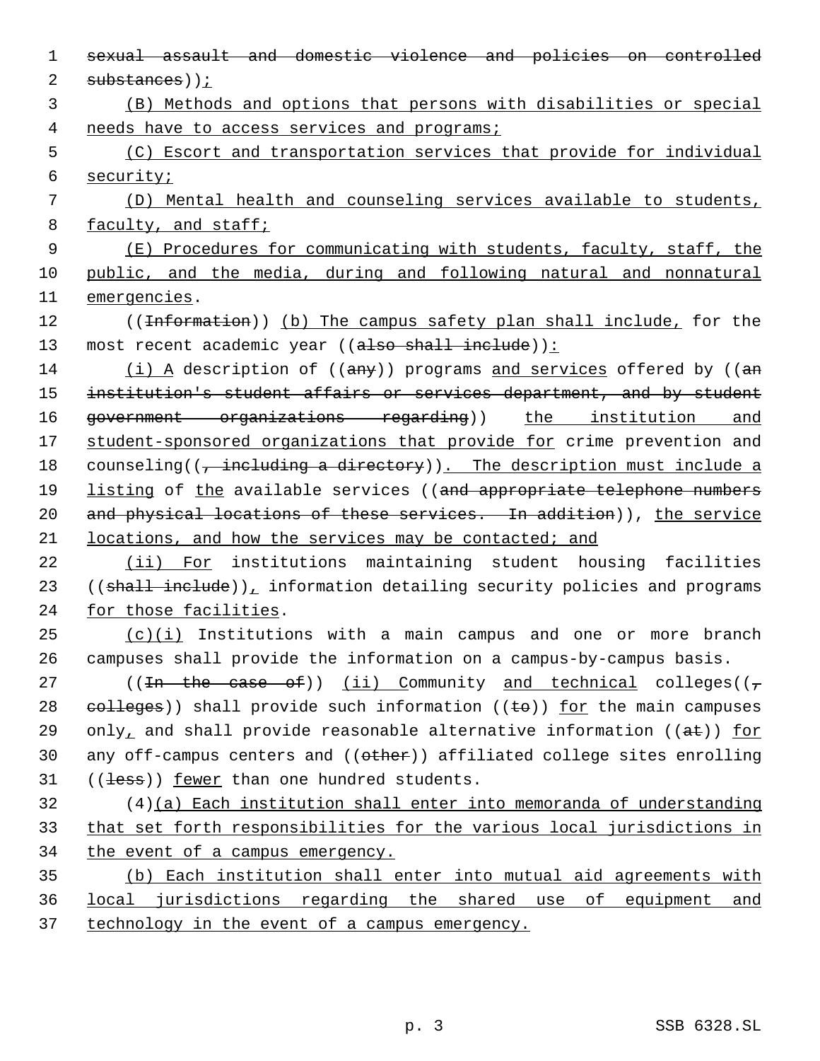| $\mathbf 1$ | sexual assault and domestic violence and policies on controlled                                                                                                                                                                                                                                                                                                                               |
|-------------|-----------------------------------------------------------------------------------------------------------------------------------------------------------------------------------------------------------------------------------------------------------------------------------------------------------------------------------------------------------------------------------------------|
| 2           | substances));                                                                                                                                                                                                                                                                                                                                                                                 |
| 3           | (B) Methods and options that persons with disabilities or special                                                                                                                                                                                                                                                                                                                             |
| 4           | needs have to access services and programs;                                                                                                                                                                                                                                                                                                                                                   |
| 5           | (C) Escort and transportation services that provide for individual                                                                                                                                                                                                                                                                                                                            |
| 6           | security;                                                                                                                                                                                                                                                                                                                                                                                     |
| 7           | (D) Mental health and counseling services available to students,                                                                                                                                                                                                                                                                                                                              |
| 8           | faculty, and staff;                                                                                                                                                                                                                                                                                                                                                                           |
| 9           | (E) Procedures for communicating with students, faculty, staff, the                                                                                                                                                                                                                                                                                                                           |
| 10          | public, and the media, during and following natural and nonnatural                                                                                                                                                                                                                                                                                                                            |
| 11          | emergencies.                                                                                                                                                                                                                                                                                                                                                                                  |
| 12          | ((Information)) (b) The campus safety plan shall include, for the                                                                                                                                                                                                                                                                                                                             |
| 13          | most recent academic year ((also shall include)):                                                                                                                                                                                                                                                                                                                                             |
| 14          | $(i)$ A description of ((any)) programs and services offered by ((an                                                                                                                                                                                                                                                                                                                          |
| 15          | institution's student affairs or services department, and by student                                                                                                                                                                                                                                                                                                                          |
| 16          | government organizations regarding)) the institution and                                                                                                                                                                                                                                                                                                                                      |
| 17          | student-sponsored organizations that provide for crime prevention and                                                                                                                                                                                                                                                                                                                         |
| 18          | counseling( $\left(\frac{1}{t} + \frac{1}{t} + \frac{1}{t} + \frac{1}{t} + \frac{1}{t} + \frac{1}{t} + \frac{1}{t} + \frac{1}{t} + \frac{1}{t} + \frac{1}{t} + \frac{1}{t} + \frac{1}{t} + \frac{1}{t} + \frac{1}{t} + \frac{1}{t} + \frac{1}{t} + \frac{1}{t} + \frac{1}{t} + \frac{1}{t} + \frac{1}{t} + \frac{1}{t} + \frac{1}{t} + \frac{1}{t} + \frac{1}{t} + \frac{1}{t} + \frac{1}{t}$ |
| 19          | listing of the available services ((and appropriate telephone numbers                                                                                                                                                                                                                                                                                                                         |
| 20          | and physical locations of these services. In addition)), the service                                                                                                                                                                                                                                                                                                                          |
| 21          | locations, and how the services may be contacted; and                                                                                                                                                                                                                                                                                                                                         |
| 22          | (ii) For institutions maintaining student housing facilities                                                                                                                                                                                                                                                                                                                                  |
| 23          | ((shall include)), information detailing security policies and programs                                                                                                                                                                                                                                                                                                                       |
| 24          | for those facilities.                                                                                                                                                                                                                                                                                                                                                                         |
| 25          | $(c)(i)$ Institutions with a main campus and one or more branch                                                                                                                                                                                                                                                                                                                               |
| 26          | campuses shall provide the information on a campus-by-campus basis.                                                                                                                                                                                                                                                                                                                           |
| 27          | $((\text{In the case of}))$ (ii) Community and technical colleges( $(\tau)$                                                                                                                                                                                                                                                                                                                   |
| 28          | eolleges)) shall provide such information ( $(\pm \sigma)$ ) for the main campuses                                                                                                                                                                                                                                                                                                            |
| 29          | only, and shall provide reasonable alternative information ((at)) for                                                                                                                                                                                                                                                                                                                         |
| 30          | any off-campus centers and ((other)) affiliated college sites enrolling                                                                                                                                                                                                                                                                                                                       |
| 31          | $((\text{less}))$ fewer than one hundred students.                                                                                                                                                                                                                                                                                                                                            |
| 32          | $(4)(a)$ Each institution shall enter into memoranda of understanding                                                                                                                                                                                                                                                                                                                         |
| 33          | that set forth responsibilities for the various local jurisdictions in                                                                                                                                                                                                                                                                                                                        |
| 34          | the event of a campus emergency.                                                                                                                                                                                                                                                                                                                                                              |
| 35          | (b) Each institution shall enter into mutual aid agreements with                                                                                                                                                                                                                                                                                                                              |
| 36          | <u>local jurisdictions regarding the shared use of equipment and</u>                                                                                                                                                                                                                                                                                                                          |
| 37          | technology in the event of a campus emergency.                                                                                                                                                                                                                                                                                                                                                |
|             |                                                                                                                                                                                                                                                                                                                                                                                               |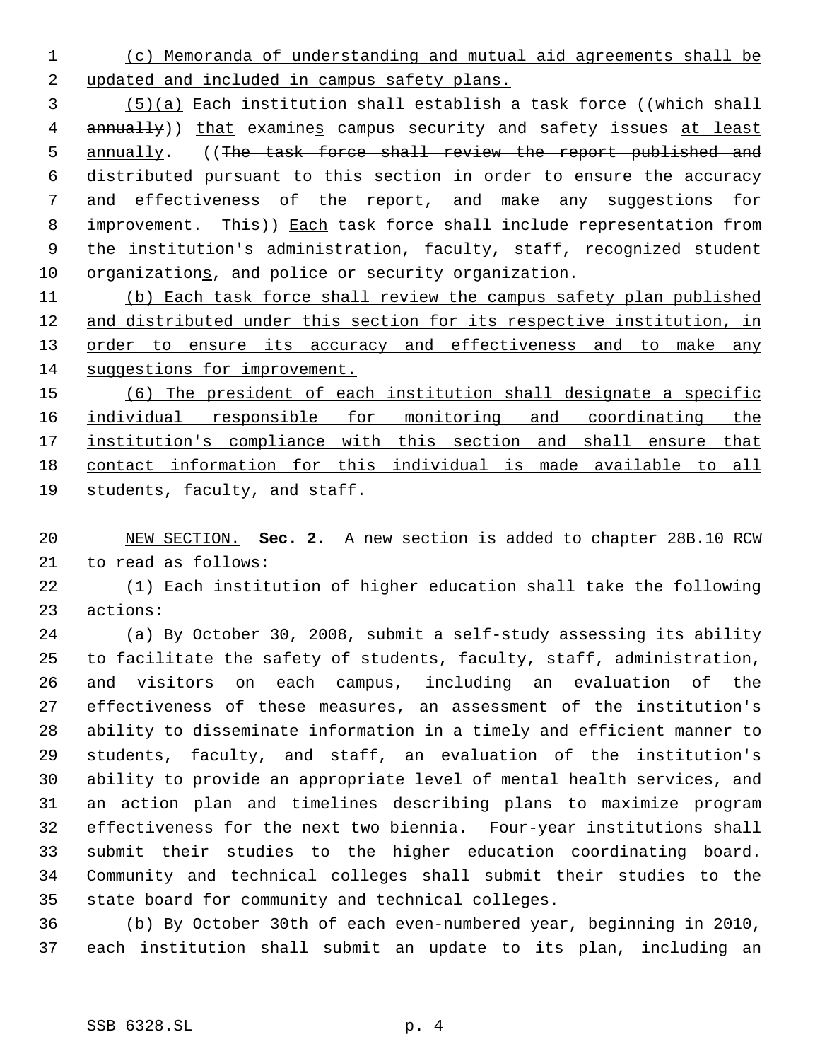(c) Memoranda of understanding and mutual aid agreements shall be 2 updated and included in campus safety plans.

3 (5)(a) Each institution shall establish a task force ((which shall 4 annually)) that examines campus security and safety issues at least 5 annually. ((The task force shall review the report published and distributed pursuant to this section in order to ensure the accuracy and effectiveness of the report, and make any suggestions for 8 improvement. This)) Each task force shall include representation from the institution's administration, faculty, staff, recognized student organizations, and police or security organization.

 (b) Each task force shall review the campus safety plan published 12 and distributed under this section for its respective institution, in 13 order to ensure its accuracy and effectiveness and to make any 14 suggestions for improvement.

 (6) The president of each institution shall designate a specific individual responsible for monitoring and coordinating the institution's compliance with this section and shall ensure that contact information for this individual is made available to all students, faculty, and staff.

 NEW SECTION. **Sec. 2.** A new section is added to chapter 28B.10 RCW to read as follows:

 (1) Each institution of higher education shall take the following actions:

 (a) By October 30, 2008, submit a self-study assessing its ability to facilitate the safety of students, faculty, staff, administration, and visitors on each campus, including an evaluation of the effectiveness of these measures, an assessment of the institution's ability to disseminate information in a timely and efficient manner to students, faculty, and staff, an evaluation of the institution's ability to provide an appropriate level of mental health services, and an action plan and timelines describing plans to maximize program effectiveness for the next two biennia. Four-year institutions shall submit their studies to the higher education coordinating board. Community and technical colleges shall submit their studies to the state board for community and technical colleges.

 (b) By October 30th of each even-numbered year, beginning in 2010, each institution shall submit an update to its plan, including an